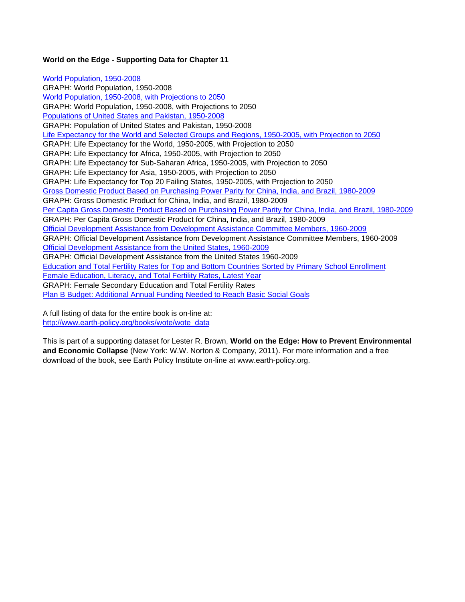#### **World on the Edge - Supporting Data for Chapter 11**

World Population, 1950-2008 GRAPH: World Population, 1950-2008 World Population, 1950-2008, with Projections to 2050 GRAPH: World Population, 1950-2008, with Projections to 2050 Populations of United States and Pakistan, 1950-2008 GRAPH: Population of United States and Pakistan, 1950-2008 Life Expectancy for the World and Selected Groups and Regions, 1950-2005, with Projection to 2050 GRAPH: Life Expectancy for the World, 1950-2005, with Projection to 2050 GRAPH: Life Expectancy for Africa, 1950-2005, with Projection to 2050 GRAPH: Life Expectancy for Sub-Saharan Africa, 1950-2005, with Projection to 2050 GRAPH: Life Expectancy for Asia, 1950-2005, with Projection to 2050 GRAPH: Life Expectancy for Top 20 Failing States, 1950-2005, with Projection to 2050 Gross Domestic Product Based on Purchasing Power Parity for China, India, and Brazil, 1980-2009 GRAPH: Gross Domestic Product for China, India, and Brazil, 1980-2009 Per Capita Gross Domestic Product Based on Purchasing Power Parity for China, India, and Brazil, 1980-2009 GRAPH: Per Capita Gross Domestic Product for China, India, and Brazil, 1980-2009 Official Development Assistance from Development Assistance Committee Members, 1960-2009 GRAPH: Official Development Assistance from Development Assistance Committee Members, 1960-2009 Official Development Assistance from the United States, 1960-2009 GRAPH: Official Development Assistance from the United States 1960-2009 Education and Total Fertility Rates for Top and Bottom Countries Sorted by Primary School Enrollment Female Education, Literacy, and Total Fertility Rates, Latest Year GRAPH: Female Secondary Education and Total Fertility Rates Plan B Budget: Additional Annual Funding Needed to Reach Basic Social Goals

A full listing of data for the entire book is on-line at: http://www.earth-policy.org/books/wote/wote\_data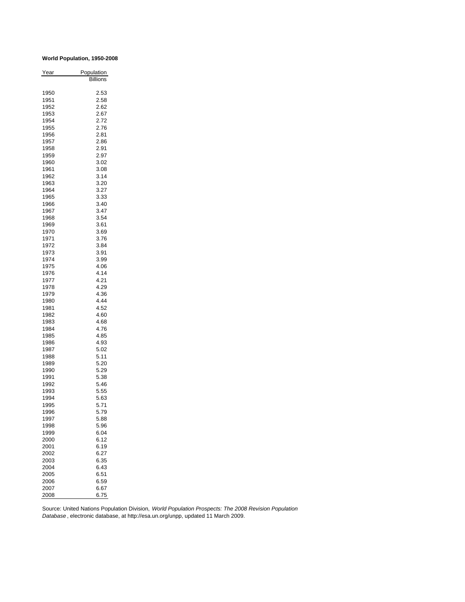#### **World Population, 1950-2008**

| Year         | Population   |
|--------------|--------------|
|              | Billions     |
|              |              |
| 1950<br>1951 | 2.53<br>2.58 |
|              |              |
| 1952<br>1953 | 2.62         |
|              | 2.67         |
| 1954         | 2.72         |
| 1955         | 2.76         |
| 1956         | 2.81         |
| 1957         | 2.86         |
| 1958<br>1959 | 2.91         |
|              | 2.97<br>3.02 |
| 1960         |              |
| 1961         | 3.08         |
| 1962         | 3.14         |
| 1963<br>1964 | 3.20         |
| 1965         | 3.27<br>3.33 |
| 1966         | 3.40         |
| 1967         | 3.47         |
|              |              |
| 1968         | 3.54         |
| 1969         | 3.61<br>3.69 |
| 1970<br>1971 |              |
|              | 3.76         |
| 1972         | 3.84         |
| 1973         | 3.91         |
| 1974<br>1975 | 3.99         |
|              | 4.06<br>4.14 |
| 1976         | 4.21         |
| 1977         | 4.29         |
| 1978<br>1979 | 4.36         |
| 1980         | 4.44         |
| 1981         | 4.52         |
|              | 4.60         |
| 1982<br>1983 | 4.68         |
| 1984         | 4.76         |
| 1985         | 4.85         |
| 1986         | 4.93         |
| 1987         | 5.02         |
| 1988         | 5.11         |
| 1989         | 5.20         |
| 1990         | 5.29         |
| 1991         | 5.38         |
| 1992         | 5.46         |
| 1993         | 5.55         |
| 1994         | 5.63         |
| 1995         | 5.71         |
| 1996         | 5.79         |
| 1997         | 5.88         |
| 1998         | 5.96         |
| 1999         | 6.04         |
| 2000         | 6.12         |
| 2001         | 6.19         |
| 2002         | 6.27         |
| 2003         | 6.35         |
| 2004         | 6.43         |
| 2005         | 6.51         |
| 2006         | 6.59         |
| 2007         | 6.67         |
| 2008         | 6.75         |
|              |              |

Source: United Nations Population Division, *World Population Prospects: The 2008 Revision Population Database* , electronic database, at http://esa.un.org/unpp, updated 11 March 2009.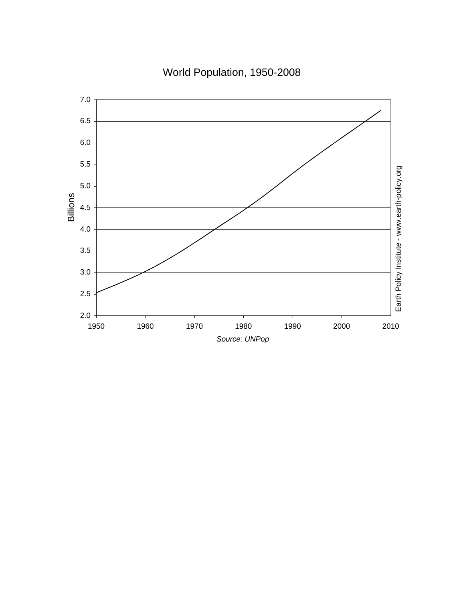World Population, 1950-2008

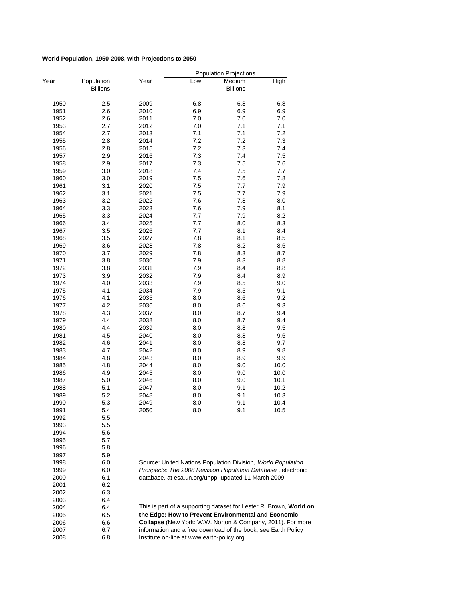#### **World Population, 1950-2008, with Projections to 2050**

|              |                 |              |                                            | <b>Population Projections</b>                                 |                                                                    |
|--------------|-----------------|--------------|--------------------------------------------|---------------------------------------------------------------|--------------------------------------------------------------------|
| Year         | Population      | Year         | Low                                        | Medium                                                        | High                                                               |
|              | <b>Billions</b> |              |                                            | <b>Billions</b>                                               |                                                                    |
|              | 2.5             | 2009         | 6.8                                        |                                                               | 6.8                                                                |
| 1950<br>1951 | 2.6             | 2010         | 6.9                                        | 6.8<br>6.9                                                    | 6.9                                                                |
| 1952         | 2.6             | 2011         | 7.0                                        | 7.0                                                           | 7.0                                                                |
| 1953         | 2.7             | 2012         | 7.0                                        | 7.1                                                           | 7.1                                                                |
| 1954         | 2.7             | 2013         | 7.1                                        | 7.1                                                           | 7.2                                                                |
| 1955         | 2.8             | 2014         | 7.2                                        | 7.2                                                           | 7.3                                                                |
| 1956         | 2.8             | 2015         | 7.2                                        | 7.3                                                           | 7.4                                                                |
| 1957         | 2.9             | 2016         | 7.3                                        | 7.4                                                           | 7.5                                                                |
| 1958         | 2.9             | 2017         | 7.3                                        | 7.5                                                           | 7.6                                                                |
| 1959         | 3.0             | 2018         | 7.4                                        | 7.5                                                           | 7.7                                                                |
| 1960         | 3.0             | 2019         | 7.5                                        | 7.6                                                           | 7.8                                                                |
| 1961         | 3.1             | 2020         | 7.5                                        | 7.7                                                           | 7.9                                                                |
| 1962         | 3.1             | 2021         | 7.5                                        | 7.7                                                           | 7.9                                                                |
| 1963         | 3.2             | 2022         | 7.6                                        | 7.8                                                           | 8.0                                                                |
| 1964         | 3.3             | 2023         | 7.6                                        | 7.9                                                           | 8.1                                                                |
| 1965         | 3.3             | 2024         | 7.7                                        | 7.9                                                           | 8.2                                                                |
| 1966         | 3.4             | 2025         | 7.7                                        | 8.0                                                           | 8.3                                                                |
| 1967         | 3.5             | 2026         | 7.7                                        | 8.1                                                           | 8.4                                                                |
| 1968         | 3.5             | 2027         | 7.8                                        | 8.1                                                           | 8.5                                                                |
| 1969         | 3.6             | 2028         | 7.8                                        | 8.2                                                           | 8.6                                                                |
| 1970         | 3.7             | 2029         | 7.8                                        | 8.3                                                           | 8.7                                                                |
| 1971         | 3.8             | 2030         | 7.9                                        | 8.3                                                           | 8.8                                                                |
| 1972         | 3.8             | 2031         | 7.9                                        | 8.4                                                           | 8.8                                                                |
| 1973         | 3.9             | 2032         | 7.9                                        | 8.4                                                           | 8.9                                                                |
| 1974         | 4.0             | 2033         | 7.9                                        | 8.5                                                           | 9.0                                                                |
| 1975         | 4.1             | 2034         | 7.9                                        | 8.5                                                           | 9.1                                                                |
| 1976         | 4.1             | 2035         | 8.0                                        | 8.6                                                           | 9.2                                                                |
| 1977         | 4.2             | 2036         | 8.0                                        | 8.6                                                           | 9.3                                                                |
| 1978<br>1979 | 4.3<br>4.4      | 2037<br>2038 | 8.0<br>8.0                                 | 8.7<br>8.7                                                    | 9.4<br>9.4                                                         |
| 1980         | 4.4             | 2039         | 8.0                                        | 8.8                                                           | 9.5                                                                |
| 1981         | 4.5             | 2040         | 8.0                                        | 8.8                                                           | 9.6                                                                |
| 1982         | 4.6             | 2041         | 8.0                                        | 8.8                                                           | 9.7                                                                |
| 1983         | 4.7             | 2042         | 8.0                                        | 8.9                                                           | 9.8                                                                |
| 1984         | 4.8             | 2043         | 8.0                                        | 8.9                                                           | 9.9                                                                |
| 1985         | 4.8             | 2044         | 8.0                                        | 9.0                                                           | 10.0                                                               |
| 1986         | 4.9             | 2045         | 8.0                                        | 9.0                                                           | 10.0                                                               |
| 1987         | 5.0             | 2046         | 8.0                                        | 9.0                                                           | 10.1                                                               |
| 1988         | 5.1             | 2047         | 8.0                                        | 9.1                                                           | 10.2                                                               |
| 1989         | 5.2             | 2048         | 8.0                                        | 9.1                                                           | 10.3                                                               |
| 1990         | 5.3             | 2049         | 8.0                                        | 9.1                                                           | 10.4                                                               |
| 1991         | 5.4             | 2050         | 8.0                                        | 9.1                                                           | 10.5                                                               |
| 1992         | 5.5             |              |                                            |                                                               |                                                                    |
| 1993         | $5.5\,$         |              |                                            |                                                               |                                                                    |
| 1994         | 5.6             |              |                                            |                                                               |                                                                    |
| 1995         | 5.7             |              |                                            |                                                               |                                                                    |
| 1996         | 5.8             |              |                                            |                                                               |                                                                    |
| 1997         | 5.9             |              |                                            |                                                               |                                                                    |
| 1998         | 6.0             |              |                                            | Source: United Nations Population Division, World Population  |                                                                    |
| 1999         | 6.0             |              |                                            |                                                               | Prospects: The 2008 Revision Population Database, electronic       |
| 2000         | 6.1             |              |                                            | database, at esa.un.org/unpp, updated 11 March 2009.          |                                                                    |
| 2001         | 6.2             |              |                                            |                                                               |                                                                    |
| 2002         | 6.3             |              |                                            |                                                               |                                                                    |
| 2003         | 6.4             |              |                                            |                                                               | This is part of a supporting dataset for Lester R. Brown, World on |
| 2004<br>2005 | 6.4<br>6.5      |              |                                            | the Edge: How to Prevent Environmental and Economic           |                                                                    |
| 2006         | 6.6             |              |                                            |                                                               | Collapse (New York: W.W. Norton & Company, 2011). For more         |
| 2007         | 6.7             |              |                                            | information and a free download of the book, see Earth Policy |                                                                    |
| 2008         | 6.8             |              | Institute on-line at www.earth-policy.org. |                                                               |                                                                    |
|              |                 |              |                                            |                                                               |                                                                    |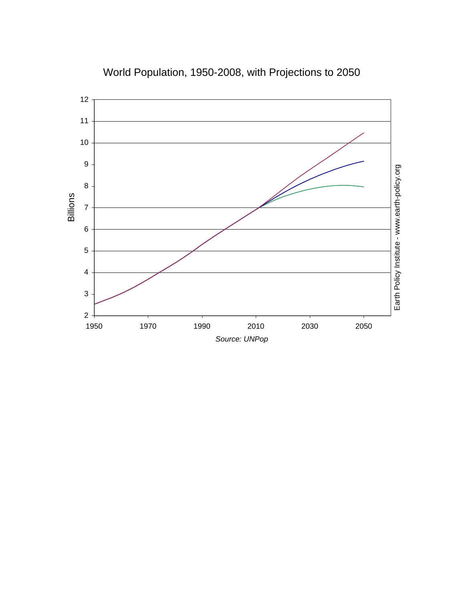

World Population, 1950-2008, with Projections to 2050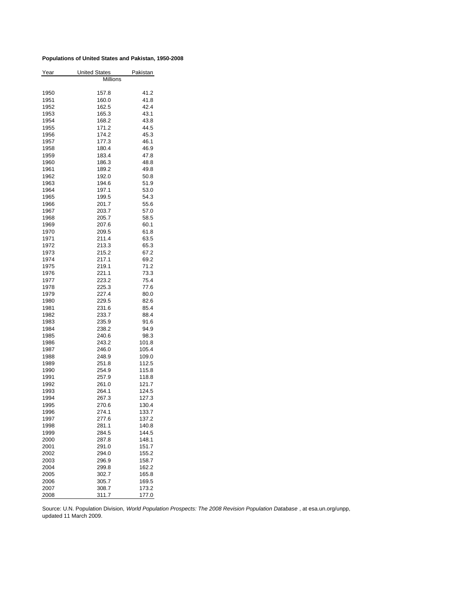#### **Populations of United States and Pakistan, 1950-2008**

| Year         | <b>United States</b> | Pakistan |
|--------------|----------------------|----------|
|              | <b>Millions</b>      |          |
|              |                      |          |
| 1950         | 157.8                | 41.2     |
| 1951         | 160.0                | 41.8     |
| 1952         | 162.5                | 42.4     |
| 1953         | 165.3                | 43.1     |
| 1954         | 168.2                | 43.8     |
| 1955         | 171.2                | 44.5     |
| 1956         | 174.2                | 45.3     |
| 1957         | 177.3                | 46.1     |
| 1958         | 180.4                | 46.9     |
| 1959         | 183.4                | 47.8     |
| 1960         | 186.3                | 48.8     |
| 1961         | 189.2                | 49.8     |
| 1962         | 192.0                | 50.8     |
| 1963         | 194.6                | 51.9     |
| 1964         | 197.1                | 53.0     |
| 1965         | 199.5                | 54.3     |
| 1966         | 201.7                | 55.6     |
| 1967         | 203.7                | 57.0     |
| 1968         | 205.7                | 58.5     |
| 1969         | 207.6                | 60.1     |
| 1970         | 209.5                | 61.8     |
| 1971         | 211.4                | 63.5     |
| 1972         | 213.3                | 65.3     |
| 1973         | 215.2                | 67.2     |
| 1974         | 217.1                | 69.2     |
| 1975         | 219.1                | 71.2     |
| 1976         | 221.1                | 73.3     |
| 1977         | 223.2                | 75.4     |
| 1978         | 225.3                | 77.6     |
|              | 227.4                | 80.0     |
| 1979<br>1980 | 229.5                | 82.6     |
|              | 231.6                | 85.4     |
| 1981         |                      |          |
| 1982         | 233.7                | 88.4     |
| 1983         | 235.9                | 91.6     |
| 1984         | 238.2                | 94.9     |
| 1985         | 240.6                | 98.3     |
| 1986         | 243.2                | 101.8    |
| 1987         | 246.0                | 105.4    |
| 1988         | 248.9                | 109.0    |
| 1989         | 251.8                | 112.5    |
| 1990         | 254.9                | 115.8    |
| 1991         | 257.9                | 118.8    |
| 1992         | 261.0                | 121.7    |
| 1993         | 264.1                | 124.5    |
| 1994         | 267.3                | 127.3    |
| 1995         | 270.6                | 130.4    |
| 1996         | 274.1                | 133.7    |
| 1997         | 277.6                | 137.2    |
| 1998         | 281.1                | 140.8    |
| 1999         | 284.5                | 144.5    |
| 2000         | 287.8                | 148.1    |
| 2001         | 291.0                | 151.7    |
| 2002         | 294.0                | 155.2    |
| 2003         | 296.9                | 158.7    |
| 2004         | 299.8                | 162.2    |
| 2005         | 302.7                | 165.8    |
| 2006         | 305.7                | 169.5    |
| 2007         | 308.7                | 173.2    |
| 2008         | 311.7                | 177.0    |

Source: U.N. Population Division, *World Population Prospects: The 2008 Revision Population Database* , at esa.un.org/unpp, updated 11 March 2009.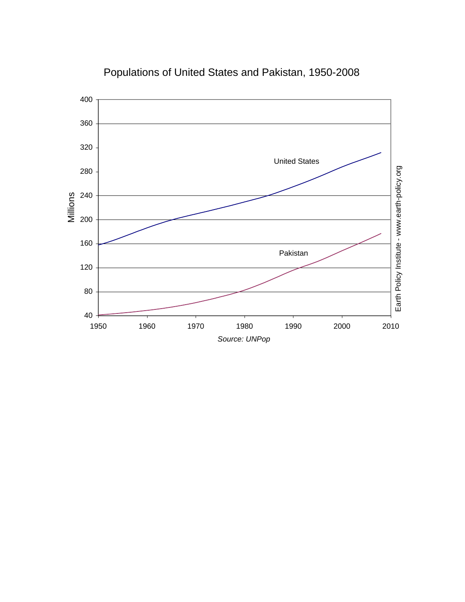

# Populations of United States and Pakistan, 1950-2008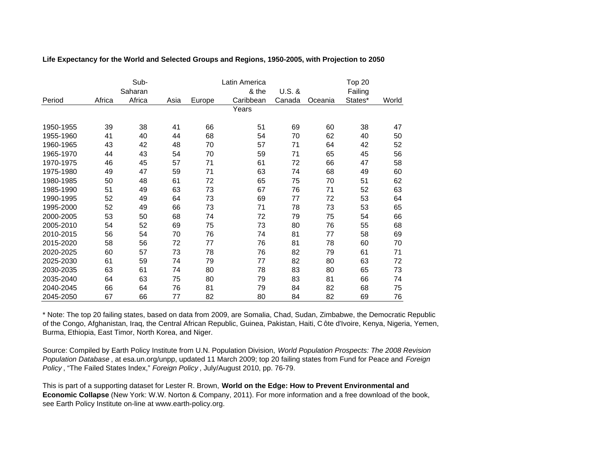|           |        | Sub-<br>Saharan |      |        | Latin America<br>& the | $U.S.$ & |         | Top 20<br>Failing |       |
|-----------|--------|-----------------|------|--------|------------------------|----------|---------|-------------------|-------|
| Period    | Africa | Africa          | Asia | Europe | Caribbean              | Canada   | Oceania | States*           | World |
|           |        |                 |      |        | Years                  |          |         |                   |       |
| 1950-1955 | 39     | 38              | 41   | 66     | 51                     | 69       | 60      | 38                | 47    |
| 1955-1960 | 41     | 40              | 44   | 68     | 54                     | 70       | 62      | 40                | 50    |
| 1960-1965 | 43     | 42              | 48   | 70     | 57                     | 71       | 64      | 42                | 52    |
| 1965-1970 | 44     | 43              | 54   | 70     | 59                     | 71       | 65      | 45                | 56    |
| 1970-1975 | 46     | 45              | 57   | 71     | 61                     | 72       | 66      | 47                | 58    |
| 1975-1980 | 49     | 47              | 59   | 71     | 63                     | 74       | 68      | 49                | 60    |
| 1980-1985 | 50     | 48              | 61   | 72     | 65                     | 75       | 70      | 51                | 62    |
| 1985-1990 | 51     | 49              | 63   | 73     | 67                     | 76       | 71      | 52                | 63    |
| 1990-1995 | 52     | 49              | 64   | 73     | 69                     | 77       | 72      | 53                | 64    |
| 1995-2000 | 52     | 49              | 66   | 73     | 71                     | 78       | 73      | 53                | 65    |
| 2000-2005 | 53     | 50              | 68   | 74     | 72                     | 79       | 75      | 54                | 66    |
| 2005-2010 | 54     | 52              | 69   | 75     | 73                     | 80       | 76      | 55                | 68    |
| 2010-2015 | 56     | 54              | 70   | 76     | 74                     | 81       | 77      | 58                | 69    |
| 2015-2020 | 58     | 56              | 72   | 77     | 76                     | 81       | 78      | 60                | 70    |
| 2020-2025 | 60     | 57              | 73   | 78     | 76                     | 82       | 79      | 61                | 71    |
| 2025-2030 | 61     | 59              | 74   | 79     | 77                     | 82       | 80      | 63                | 72    |
| 2030-2035 | 63     | 61              | 74   | 80     | 78                     | 83       | 80      | 65                | 73    |
| 2035-2040 | 64     | 63              | 75   | 80     | 79                     | 83       | 81      | 66                | 74    |
| 2040-2045 | 66     | 64              | 76   | 81     | 79                     | 84       | 82      | 68                | 75    |
| 2045-2050 | 67     | 66              | 77   | 82     | 80                     | 84       | 82      | 69                | 76    |

**Life Expectancy for the World and Selected Groups and Regions, 1950-2005, with Projection to 2050**

\* Note: The top 20 failing states, based on data from 2009, are Somalia, Chad, Sudan, Zimbabwe, the Democratic Republic of the Congo, Afghanistan, Iraq, the Central African Republic, Guinea, Pakistan, Haiti, C ôte d'Ivoire, Kenya, Nigeria, Yemen, Burma, Ethiopia, East Timor, North Korea, and Niger.

Source: Compiled by Earth Policy Institute from U.N. Population Division, *World Population Prospects: The 2008 Revision Population Database* , at esa.un.org/unpp, updated 11 March 2009; top 20 failing states from Fund for Peace and *Foreign Policy* , "The Failed States Index," *Foreign Policy* , July/August 2010, pp. 76-79.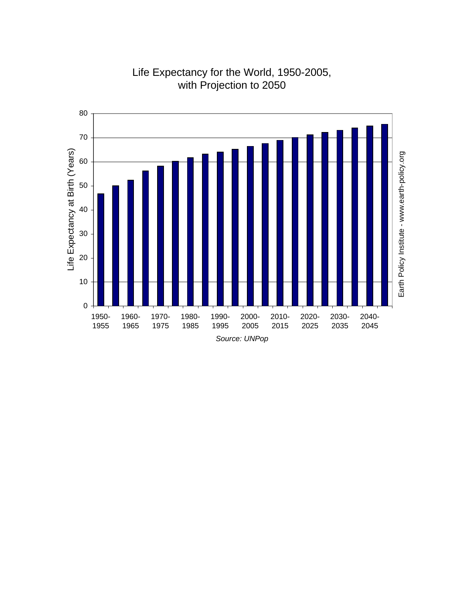

Life Expectancy for the World, 1950-2005, with Projection to 2050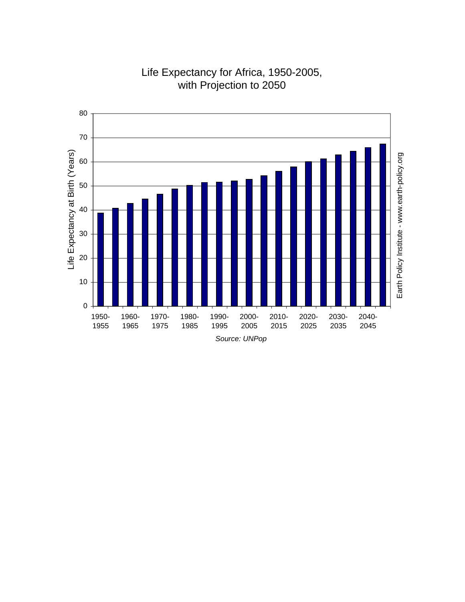

## Life Expectancy for Africa, 1950-2005, with Projection to 2050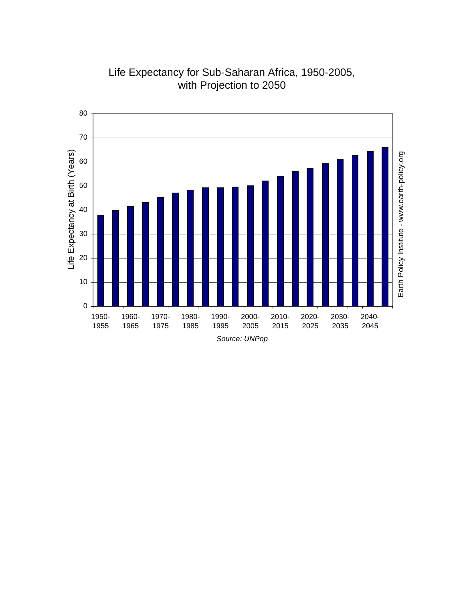

Life Expectancy for Sub-Saharan Africa, 1950-2005, with Projection to 2050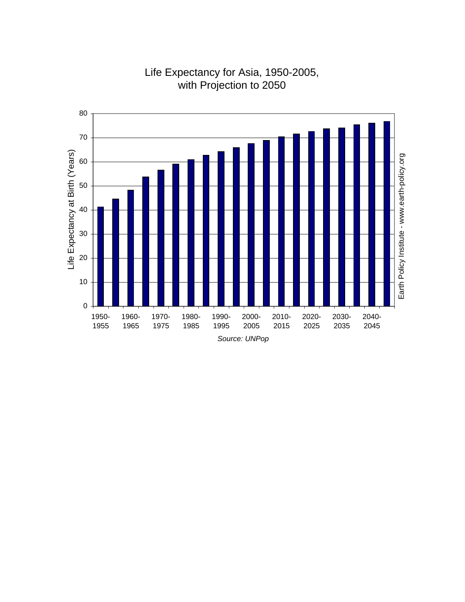

## Life Expectancy for Asia, 1950-2005, with Projection to 2050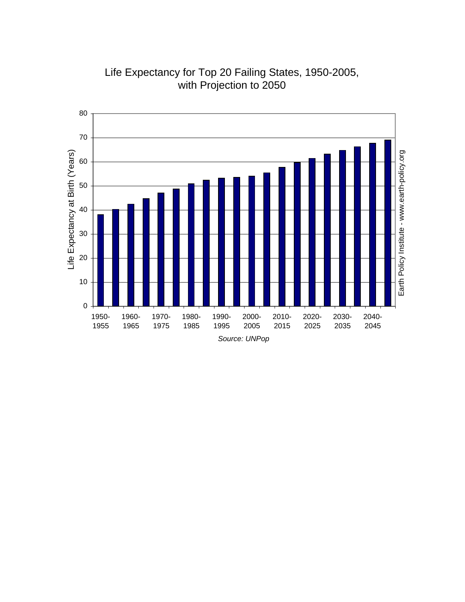

Life Expectancy for Top 20 Failing States, 1950-2005, with Projection to 2050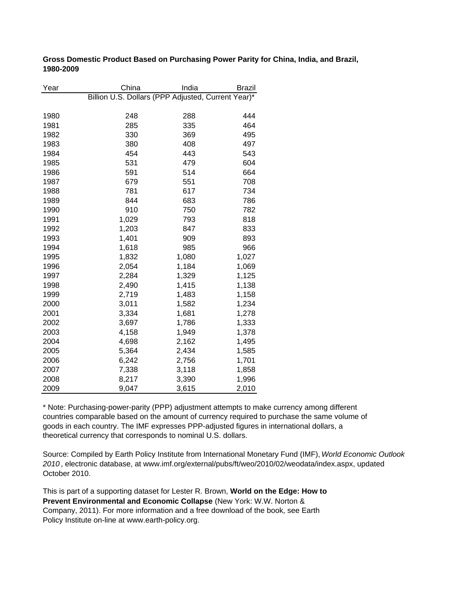**Gross Domestic Product Based on Purchasing Power Parity for China, India, and Brazil, 1980-2009**

| Year | China                                              | India | Brazil |
|------|----------------------------------------------------|-------|--------|
|      | Billion U.S. Dollars (PPP Adjusted, Current Year)* |       |        |
|      |                                                    |       |        |
| 1980 | 248                                                | 288   | 444    |
| 1981 | 285                                                | 335   | 464    |
| 1982 | 330                                                | 369   | 495    |
| 1983 | 380                                                | 408   | 497    |
| 1984 | 454                                                | 443   | 543    |
| 1985 | 531                                                | 479   | 604    |
| 1986 | 591                                                | 514   | 664    |
| 1987 | 679                                                | 551   | 708    |
| 1988 | 781                                                | 617   | 734    |
| 1989 | 844                                                | 683   | 786    |
| 1990 | 910                                                | 750   | 782    |
| 1991 | 1,029                                              | 793   | 818    |
| 1992 | 1,203                                              | 847   | 833    |
| 1993 | 1,401                                              | 909   | 893    |
| 1994 | 1,618                                              | 985   | 966    |
| 1995 | 1,832                                              | 1,080 | 1,027  |
| 1996 | 2,054                                              | 1,184 | 1,069  |
| 1997 | 2,284                                              | 1,329 | 1,125  |
| 1998 | 2,490                                              | 1,415 | 1,138  |
| 1999 | 2,719                                              | 1,483 | 1,158  |
| 2000 | 3,011                                              | 1,582 | 1,234  |
| 2001 | 3,334                                              | 1,681 | 1,278  |
| 2002 | 3,697                                              | 1,786 | 1,333  |
| 2003 | 4,158                                              | 1,949 | 1,378  |
| 2004 | 4,698                                              | 2,162 | 1,495  |
| 2005 | 5,364                                              | 2,434 | 1,585  |
| 2006 | 6,242                                              | 2,756 | 1,701  |
| 2007 | 7,338                                              | 3,118 | 1,858  |
| 2008 | 8,217                                              | 3,390 | 1,996  |
| 2009 | 9,047                                              | 3,615 | 2,010  |

\* Note: Purchasing-power-parity (PPP) adjustment attempts to make currency among different countries comparable based on the amount of currency required to purchase the same volume of goods in each country. The IMF expresses PPP-adjusted figures in international dollars, a theoretical currency that corresponds to nominal U.S. dollars.

Source: Compiled by Earth Policy Institute from International Monetary Fund (IMF), *World Economic Outlook 2010* , electronic database, at www.imf.org/external/pubs/ft/weo/2010/02/weodata/index.aspx, updated October 2010.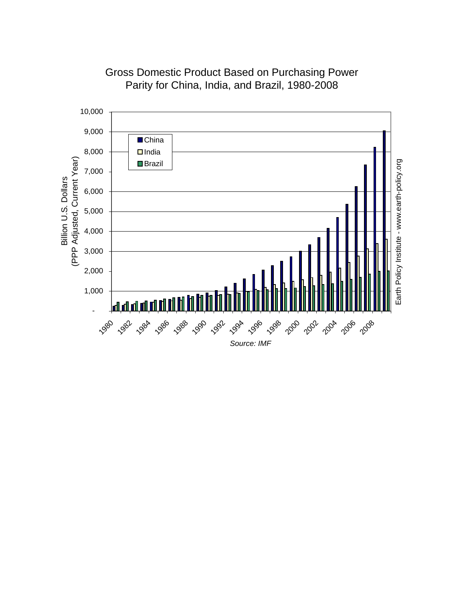

Gross Domestic Product Based on Purchasing Power Parity for China, India, and Brazil, 1980-2008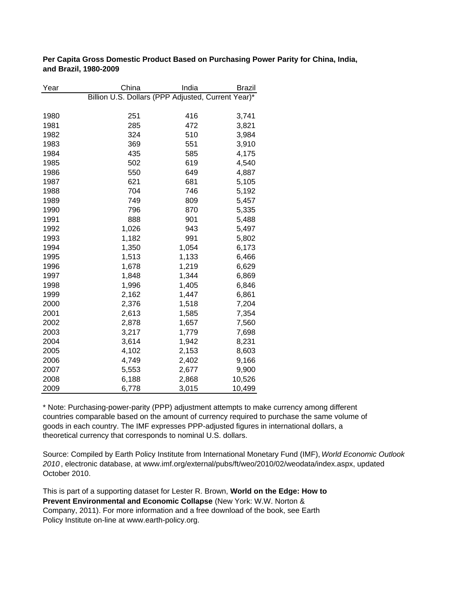**Per Capita Gross Domestic Product Based on Purchasing Power Parity for China, India, and Brazil, 1980-2009**

| Year | China                                              | India | Brazil |
|------|----------------------------------------------------|-------|--------|
|      | Billion U.S. Dollars (PPP Adjusted, Current Year)* |       |        |
|      |                                                    |       |        |
| 1980 | 251                                                | 416   | 3,741  |
| 1981 | 285                                                | 472   | 3,821  |
| 1982 | 324                                                | 510   | 3,984  |
| 1983 | 369                                                | 551   | 3,910  |
| 1984 | 435                                                | 585   | 4,175  |
| 1985 | 502                                                | 619   | 4,540  |
| 1986 | 550                                                | 649   | 4,887  |
| 1987 | 621                                                | 681   | 5,105  |
| 1988 | 704                                                | 746   | 5,192  |
| 1989 | 749                                                | 809   | 5,457  |
| 1990 | 796                                                | 870   | 5,335  |
| 1991 | 888                                                | 901   | 5,488  |
| 1992 | 1,026                                              | 943   | 5,497  |
| 1993 | 1,182                                              | 991   | 5,802  |
| 1994 | 1,350                                              | 1,054 | 6,173  |
| 1995 | 1,513                                              | 1,133 | 6,466  |
| 1996 | 1,678                                              | 1,219 | 6,629  |
| 1997 | 1,848                                              | 1,344 | 6,869  |
| 1998 | 1,996                                              | 1,405 | 6,846  |
| 1999 | 2,162                                              | 1,447 | 6,861  |
| 2000 | 2,376                                              | 1,518 | 7,204  |
| 2001 | 2,613                                              | 1,585 | 7,354  |
| 2002 | 2,878                                              | 1,657 | 7,560  |
| 2003 | 3,217                                              | 1,779 | 7,698  |
| 2004 | 3,614                                              | 1,942 | 8,231  |
| 2005 | 4,102                                              | 2,153 | 8,603  |
| 2006 | 4,749                                              | 2,402 | 9,166  |
| 2007 | 5,553                                              | 2,677 | 9,900  |
| 2008 | 6,188                                              | 2,868 | 10,526 |
| 2009 | 6,778                                              | 3,015 | 10,499 |

\* Note: Purchasing-power-parity (PPP) adjustment attempts to make currency among different countries comparable based on the amount of currency required to purchase the same volume of goods in each country. The IMF expresses PPP-adjusted figures in international dollars, a theoretical currency that corresponds to nominal U.S. dollars.

Source: Compiled by Earth Policy Institute from International Monetary Fund (IMF), *World Economic Outlook 2010* , electronic database, at www.imf.org/external/pubs/ft/weo/2010/02/weodata/index.aspx, updated October 2010.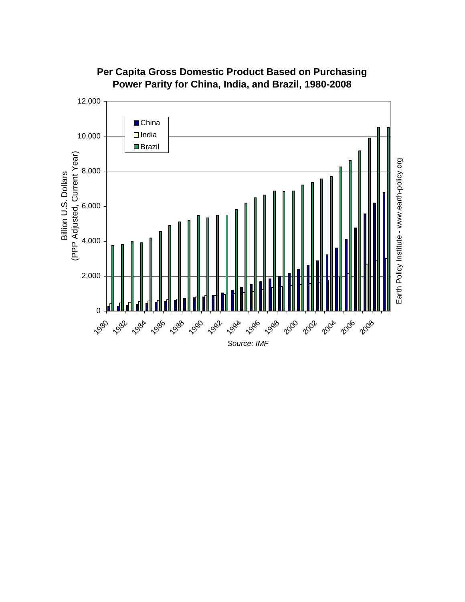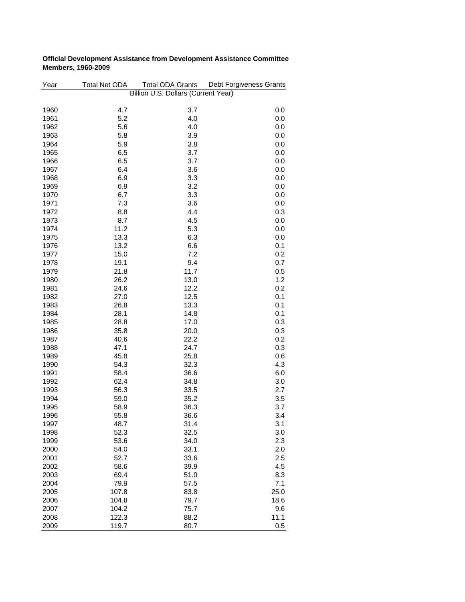| Year | <b>Total Net ODA</b> | <b>Total ODA Grants</b>             | Debt Forgiveness Grants |
|------|----------------------|-------------------------------------|-------------------------|
|      |                      | Billion U.S. Dollars (Current Year) |                         |
|      |                      |                                     |                         |
| 1960 | 4.7                  | 3.7                                 | 0.0                     |
| 1961 | 5.2                  | 4.0                                 | 0.0                     |
| 1962 | 5.6                  | 4.0                                 | 0.0                     |
| 1963 | 5.8                  | 3.9                                 | 0.0                     |
| 1964 | 5.9                  | 3.8                                 | 0.0                     |
| 1965 | 6.5                  | 3.7                                 | 0.0                     |
| 1966 | 6.5                  | 3.7                                 | 0.0                     |
| 1967 | 6.4                  | 3.6                                 | 0.0                     |
| 1968 | 6.9                  | 3.3                                 | 0.0                     |
| 1969 | 6.9                  | 3.2                                 | 0.0                     |
| 1970 | 6.7                  | 3.3                                 | 0.0                     |
| 1971 | 7.3                  | 3.6                                 | 0.0                     |
| 1972 | 8.8                  | 4.4                                 | 0.3                     |
| 1973 | 8.7                  | 4.5                                 | 0.0                     |
| 1974 | 11.2                 | 5.3                                 | 0.0                     |
| 1975 | 13.3                 | 6.3                                 | 0.0                     |
| 1976 | 13.2                 | 6.6                                 | 0.1                     |
| 1977 | 15.0                 | 7.2                                 | 0.2                     |
| 1978 | 19.1                 | 9.4                                 | 0.7                     |
| 1979 | 21.8                 | 11.7                                | 0.5                     |
|      | 26.2                 |                                     | 1.2                     |
| 1980 |                      | 13.0                                |                         |
| 1981 | 24.6                 | 12.2                                | 0.2                     |
| 1982 | 27.0                 | 12.5                                | 0.1                     |
| 1983 | 26.8                 | 13.3                                | 0.1                     |
| 1984 | 28.1                 | 14.8                                | 0.1                     |
| 1985 | 28.8                 | 17.0                                | 0.3                     |
| 1986 | 35.8                 | 20.0                                | 0.3                     |
| 1987 | 40.6                 | 22.2                                | 0.2                     |
| 1988 | 47.1                 | 24.7                                | 0.3                     |
| 1989 | 45.8                 | 25.8                                | 0.6                     |
| 1990 | 54.3                 | 32.3                                | 4.3                     |
| 1991 | 58.4                 | 36.6                                | 6.0                     |
| 1992 | 62.4                 | 34.8                                | 3.0                     |
| 1993 | 56.3                 | 33.5                                | 2.7                     |
| 1994 | 59.0                 | 35.2                                | 3.5                     |
| 1995 | 58.9                 | 36.3                                | 3.7                     |
| 1996 | 55.8                 | 36.6                                | 3.4                     |
| 1997 | 48.7                 | 31.4                                | 3.1                     |
| 1998 | 52.3                 | 32.5                                | 3.0                     |
| 1999 | 53.6                 | 34.0                                | 2.3                     |
| 2000 | 54.0                 | 33.1                                | 2.0                     |
| 2001 | 52.7                 | 33.6                                | 2.5                     |
| 2002 | 58.6                 | 39.9                                | 4.5                     |
| 2003 | 69.4                 | 51.0                                | 8.3                     |
| 2004 | 79.9                 | 57.5                                | 7.1                     |
| 2005 | 107.8                | 83.8                                | 25.0                    |
| 2006 | 104.8                | 79.7                                | 18.6                    |
| 2007 | 104.2                | 75.7                                | 9.6                     |
| 2008 | 122.3                | 88.2                                | 11.1                    |
| 2009 | 119.7                | 80.7                                | 0.5                     |

#### **Official Development Assistance from Development Assistance Committee Members, 1960-2009**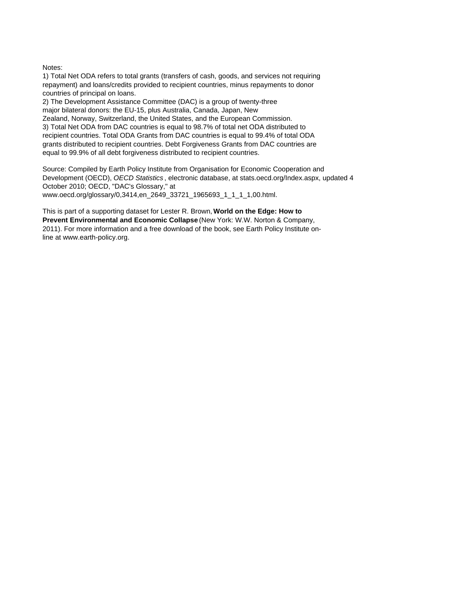#### Notes:

1) Total Net ODA refers to total grants (transfers of cash, goods, and services not requiring repayment) and loans/credits provided to recipient countries, minus repayments to donor countries of principal on loans.

3) Total Net ODA from DAC countries is equal to 98.7% of total net ODA distributed to recipient countries. Total ODA Grants from DAC countries is equal to 99.4% of total ODA grants distributed to recipient countries. Debt Forgiveness Grants from DAC countries are equal to 99.9% of all debt forgiveness distributed to recipient countries. 2) The Development Assistance Committee (DAC) is a group of twenty-three major bilateral donors: the EU-15, plus Australia, Canada, Japan, New Zealand, Norway, Switzerland, the United States, and the European Commission.

Source: Compiled by Earth Policy Institute from Organisation for Economic Cooperation and Development (OECD), *OECD Statistics* , electronic database, at stats.oecd.org/Index.aspx, updated 4 October 2010; OECD, "DAC's Glossary," at www.oecd.org/glossary/0,3414,en\_2649\_33721\_1965693\_1\_1\_1\_1,00.html.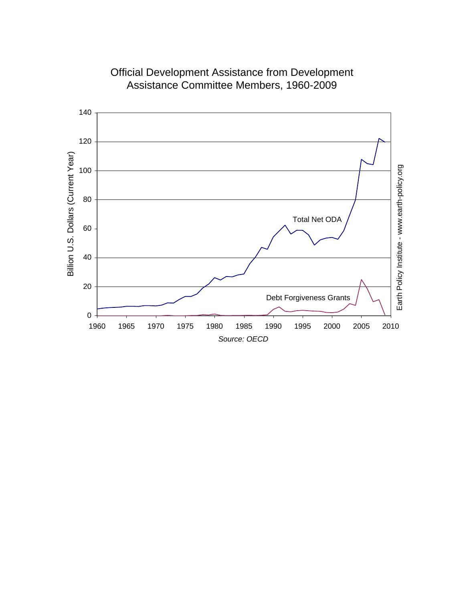

Official Development Assistance from Development Assistance Committee Members, 1960-2009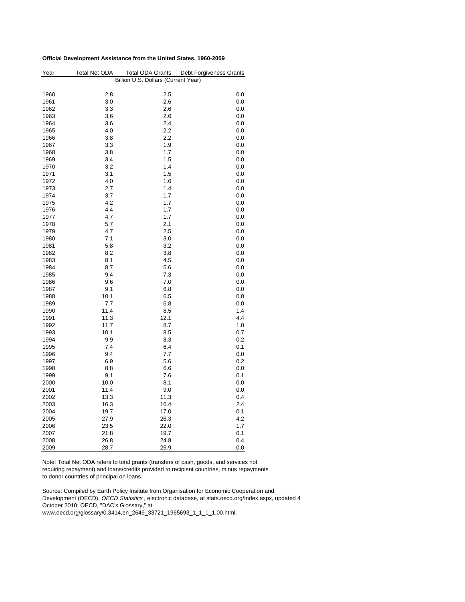#### **Official Development Assistance from the United States, 1960-2009**

| Year | <b>Total Net ODA</b> | <b>Total ODA Grants</b>             | Debt Forgiveness Grants |
|------|----------------------|-------------------------------------|-------------------------|
|      |                      | Billion U.S. Dollars (Current Year) |                         |
| 1960 | 2.8                  | 2.5                                 | 0.0                     |
| 1961 | 3.0                  | 2.6                                 | 0.0                     |
| 1962 | 3.3                  | 2.6                                 | 0.0                     |
| 1963 | 3.6                  | 2.6                                 | 0.0                     |
| 1964 | 3.6                  | 2.4                                 | 0.0                     |
| 1965 | 4.0                  | 2.2                                 | 0.0                     |
|      |                      | 2.2                                 |                         |
| 1966 | 3.8                  |                                     | 0.0                     |
| 1967 | 3.3                  | 1.9                                 | 0.0                     |
| 1968 | 3.8                  | 1.7                                 | 0.0                     |
| 1969 | 3.4                  | 1.5                                 | 0.0                     |
| 1970 | 3.2                  | 1.4                                 | 0.0                     |
| 1971 | 3.1                  | 1.5                                 | 0.0                     |
| 1972 | 4.0                  | 1.6                                 | 0.0                     |
| 1973 | 2.7                  | 1.4                                 | 0.0                     |
| 1974 | 3.7                  | 1.7                                 | 0.0                     |
| 1975 | 4.2                  | 1.7                                 | 0.0                     |
| 1976 | 4.4                  | 1.7                                 | 0.0                     |
| 1977 | 4.7                  | 1.7                                 | 0.0                     |
| 1978 | 5.7                  | 2.1                                 | 0.0                     |
| 1979 | 4.7                  | 2.5                                 | 0.0                     |
| 1980 | 7.1                  | 3.0                                 | 0.0                     |
| 1981 | 5.8                  | 3.2                                 | 0.0                     |
| 1982 | 8.2                  | 3.8                                 | 0.0                     |
| 1983 | 8.1                  | 4.5                                 | 0.0                     |
| 1984 | 8.7                  | 5.6                                 | 0.0                     |
| 1985 | 9.4                  | 7.3                                 | 0.0                     |
| 1986 | 9.6                  | 7.0                                 | 0.0                     |
| 1987 | 9.1                  | 6.8                                 | 0.0                     |
| 1988 | 10.1                 | 6.5                                 | 0.0                     |
| 1989 | 7.7                  | 6.8                                 | 0.0                     |
| 1990 | 11.4                 | 8.5                                 | 1.4                     |
| 1991 | 11.3                 | 12.1                                | 4.4                     |
| 1992 | 11.7                 | 8.7                                 | 1.0                     |
| 1993 | 10.1                 | 8.5                                 | 0.7                     |
| 1994 | 9.9                  | 8.3                                 | 0.2                     |
| 1995 | 7.4                  | 6.4                                 | 0.1                     |
| 1996 | 9.4                  | 7.7                                 | 0.0                     |
| 1997 | 6.9                  | 5.6                                 | 0.2                     |
|      |                      |                                     |                         |
| 1998 | 8.8                  | 6.6                                 | 0.0                     |
| 1999 | 9.1                  | 7.6                                 | 0.1                     |
| 2000 | 10.0                 | 8.1                                 | 0.0                     |
| 2001 | 11.4                 | 9.0                                 | 0.0                     |
| 2002 | 13.3                 | 11.3                                | 0.4                     |
| 2003 | 16.3                 | 16.4                                | 2.4                     |
| 2004 | 19.7                 | 17.0                                | 0.1                     |
| 2005 | 27.9                 | 26.3                                | 4.2                     |
| 2006 | 23.5                 | 22.0                                | 1.7                     |
| 2007 | 21.8                 | 19.7                                | 0.1                     |
| 2008 | 26.8                 | 24.8                                | 0.4                     |
| 2009 | 28.7                 | 25.9                                | 0.0                     |

Note: Total Net ODA refers to total grants (transfers of cash, goods, and services not requiring repayment) and loans/credits provided to recipient countries, minus repayments to donor countries of principal on loans.

Source: Compiled by Earth Policy Insitute from Organisation for Economic Cooperation and Development (OECD), *OECD Statistics* , electronic database, at stats.oecd.org/Index.aspx, updated 4 October 2010; OECD, "DAC's Glossary," at

www.oecd.org/glossary/0,3414,en\_2649\_33721\_1965693\_1\_1\_1\_1,00.html.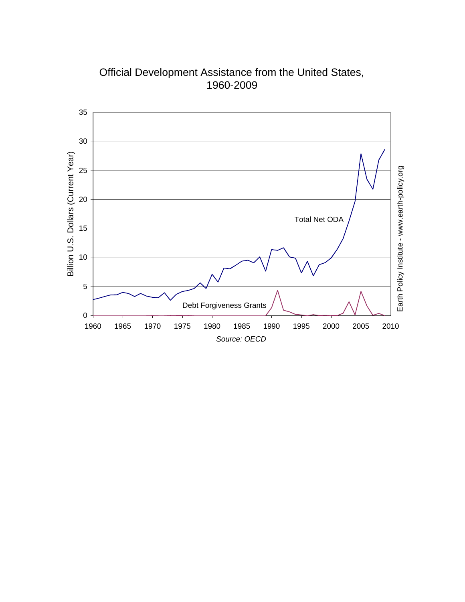

Official Development Assistance from the United States, 1960-2009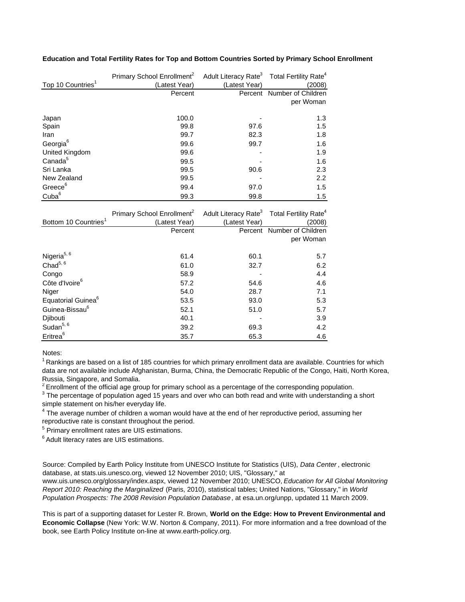#### **Education and Total Fertility Rates for Top and Bottom Countries Sorted by Primary School Enrollment**

| Top 10 Countries <sup>1</sup> | Primary School Enrollment <sup>2</sup><br>(Latest Year) | Adult Literacy Rate <sup>3</sup> Total Fertility Rate <sup>4</sup><br>(Latest Year) | (2008)             |
|-------------------------------|---------------------------------------------------------|-------------------------------------------------------------------------------------|--------------------|
|                               | Percent                                                 | Percent                                                                             | Number of Children |
|                               |                                                         |                                                                                     | per Woman          |
|                               |                                                         |                                                                                     |                    |
| Japan                         | 100.0                                                   |                                                                                     | 1.3                |
| Spain                         | 99.8                                                    | 97.6                                                                                | 1.5                |
| Iran                          | 99.7                                                    | 82.3                                                                                | 1.8                |
| Georgia <sup>6</sup>          | 99.6                                                    | 99.7                                                                                | 1.6                |
| United Kingdom                | 99.6                                                    |                                                                                     | 1.9                |
| Canada <sup>5</sup>           | 99.5                                                    |                                                                                     | 1.6                |
| Sri Lanka                     | 99.5                                                    | 90.6                                                                                | 2.3                |
| New Zealand                   | 99.5                                                    |                                                                                     | 2.2                |
| Greece <sup>6</sup>           | 99.4                                                    | 97.0                                                                                | 1.5                |
| Cuba <sup>6</sup>             | 99.3                                                    | 99.8                                                                                | 1.5                |

| Bottom 10 Countries <sup>1</sup> | Primary School Enrollment <sup>2</sup><br>(Latest Year) | Adult Literacy Rate <sup>3</sup> Total Fertility Rate <sup>4</sup><br>(Latest Year) | (2008)                     |
|----------------------------------|---------------------------------------------------------|-------------------------------------------------------------------------------------|----------------------------|
|                                  | Percent                                                 |                                                                                     | Percent Number of Children |
|                                  |                                                         |                                                                                     | per Woman                  |
|                                  |                                                         |                                                                                     |                            |
| Nigeria <sup>5, 6</sup>          | 61.4                                                    | 60.1                                                                                | 5.7                        |
| Chad $5, 6$                      | 61.0                                                    | 32.7                                                                                | 6.2                        |
| Congo                            | 58.9                                                    |                                                                                     | 4.4                        |
| Côte d'Ivoire <sup>6</sup>       | 57.2                                                    | 54.6                                                                                | 4.6                        |
| Niger                            | 54.0                                                    | 28.7                                                                                | 7.1                        |
| Equatorial Guinea <sup>o</sup>   | 53.5                                                    | 93.0                                                                                | 5.3                        |
| Guinea-Bissau <sup>6</sup>       | 52.1                                                    | 51.0                                                                                | 5.7                        |
| Djibouti                         | 40.1                                                    |                                                                                     | 3.9                        |
| Sudan <sup>5, 6</sup>            | 39.2                                                    | 69.3                                                                                | 4.2                        |
| Eritrea <sup>6</sup>             | 35.7                                                    | 65.3                                                                                | 4.6                        |

Notes:

 $1$ Rankings are based on a list of 185 countries for which primary enrollment data are available. Countries for which data are not available include Afghanistan, Burma, China, the Democratic Republic of the Congo, Haiti, North Korea, Russia, Singapore, and Somalia.

 $2$  Enrollment of the official age group for primary school as a percentage of the corresponding population.

 $3$  The percentage of population aged 15 years and over who can both read and write with understanding a short simple statement on his/her everyday life.

<sup>4</sup> The average number of children a woman would have at the end of her reproductive period, assuming her reproductive rate is constant throughout the period.

<sup>5</sup> Primary enrollment rates are UIS estimations.

6 Adult literacy rates are UIS estimations.

Source: Compiled by Earth Policy Institute from UNESCO Institute for Statistics (UIS), *Data Center* , electronic database, at stats.uis.unesco.org, viewed 12 November 2010; UIS, "Glossary," at www.uis.unesco.org/glossary/index.aspx, viewed 12 November 2010; UNESCO, *Education for All Global Monitoring Report 2010: Reaching the Marginalized* (Paris, 2010), statistical tables; United Nations, "Glossary," in *World Population Prospects: The 2008 Revision Population Database*, at esa.un.org/unpp, updated 11 March 2009.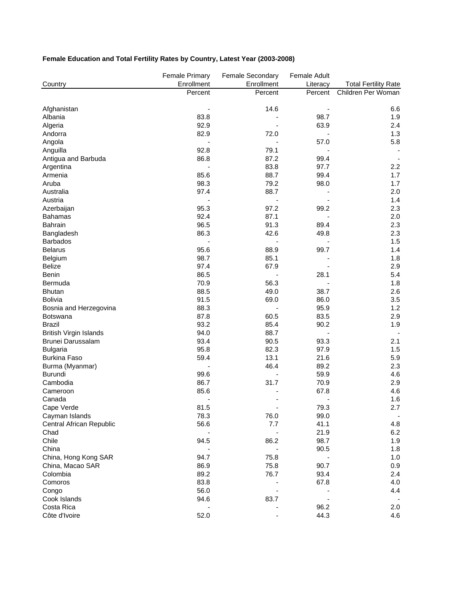### **Female Education and Total Fertility Rates by Country, Latest Year (2003-2008)**

|                               | <b>Female Primary</b> | Female Secondary | Female Adult |                             |
|-------------------------------|-----------------------|------------------|--------------|-----------------------------|
| Country                       | Enrollment            | Enrollment       | Literacy     | <b>Total Fertility Rate</b> |
|                               | Percent               | Percent          | Percent      | Children Per Woman          |
| Afghanistan                   |                       | 14.6             |              | 6.6                         |
| Albania                       | 83.8                  |                  | 98.7         | 1.9                         |
| Algeria                       | 92.9                  |                  | 63.9         | 2.4                         |
| Andorra                       | 82.9                  | 72.0             |              | 1.3                         |
| Angola                        |                       |                  | 57.0         | 5.8                         |
| Anguilla                      | 92.8                  | 79.1             |              |                             |
| Antigua and Barbuda           | 86.8                  | 87.2             | 99.4         |                             |
| Argentina                     |                       | 83.8             | 97.7         | 2.2                         |
| Armenia                       | 85.6                  | 88.7             | 99.4         | 1.7                         |
| Aruba                         | 98.3                  | 79.2             | 98.0         | 1.7                         |
| Australia                     | 97.4                  | 88.7             |              | 2.0                         |
| Austria                       |                       |                  |              | 1.4                         |
| Azerbaijan                    | 95.3                  | 97.2             | 99.2         | 2.3                         |
| <b>Bahamas</b>                | 92.4                  | 87.1             |              | 2.0                         |
| <b>Bahrain</b>                | 96.5                  | 91.3             | 89.4         | 2.3                         |
| Bangladesh                    | 86.3                  | 42.6             | 49.8         | 2.3                         |
| <b>Barbados</b>               |                       |                  |              | 1.5                         |
| <b>Belarus</b>                | 95.6                  | 88.9             | 99.7         | 1.4                         |
| Belgium                       | 98.7                  | 85.1             |              | 1.8                         |
| <b>Belize</b>                 | 97.4                  | 67.9             |              | 2.9                         |
| Benin                         | 86.5                  |                  | 28.1         | 5.4                         |
| Bermuda                       | 70.9                  | 56.3             |              | 1.8                         |
| <b>Bhutan</b>                 | 88.5                  | 49.0             | 38.7         | 2.6                         |
| <b>Bolivia</b>                | 91.5                  | 69.0             | 86.0         | 3.5                         |
| Bosnia and Herzegovina        | 88.3                  |                  | 95.9         | 1.2                         |
| Botswana                      | 87.8                  | 60.5             | 83.5         | 2.9                         |
| <b>Brazil</b>                 | 93.2                  | 85.4             | 90.2         | 1.9                         |
| <b>British Virgin Islands</b> | 94.0                  | 88.7             |              |                             |
| Brunei Darussalam             | 93.4                  | 90.5             | 93.3         | 2.1                         |
| <b>Bulgaria</b>               | 95.8                  | 82.3             | 97.9         | 1.5                         |
| <b>Burkina Faso</b>           | 59.4                  | 13.1             | 21.6         | 5.9                         |
| Burma (Myanmar)               |                       | 46.4             | 89.2         | 2.3                         |
| Burundi                       | 99.6                  |                  | 59.9         | 4.6                         |
| Cambodia                      | 86.7                  | 31.7             | 70.9         | 2.9                         |
| Cameroon                      | 85.6                  |                  | 67.8         | 4.6                         |
| Canada                        |                       |                  |              | 1.6                         |
| Cape Verde                    | 81.5                  |                  | 79.3         | 2.7                         |
| Cayman Islands                | 78.3                  | 76.0             | 99.0         | $\overline{\phantom{a}}$    |
| Central African Republic      | 56.6                  | 7.7              | 41.1         | 4.8                         |
| Chad                          |                       |                  | 21.9         | 6.2                         |
| Chile                         | 94.5                  | 86.2             | 98.7         | 1.9                         |
| China                         |                       |                  | 90.5         | 1.8                         |
| China, Hong Kong SAR          | 94.7                  | 75.8             |              | 1.0                         |
| China, Macao SAR              | 86.9                  | 75.8             | 90.7         | 0.9                         |
| Colombia                      | 89.2                  | 76.7             | 93.4         | 2.4                         |
| Comoros                       | 83.8                  |                  | 67.8         | 4.0                         |
| Congo                         | 56.0                  |                  |              | 4.4                         |
| Cook Islands                  | 94.6                  | 83.7             |              |                             |
| Costa Rica                    |                       |                  | 96.2         | 2.0                         |
| Côte d'Ivoire                 | 52.0                  |                  | 44.3         | 4.6                         |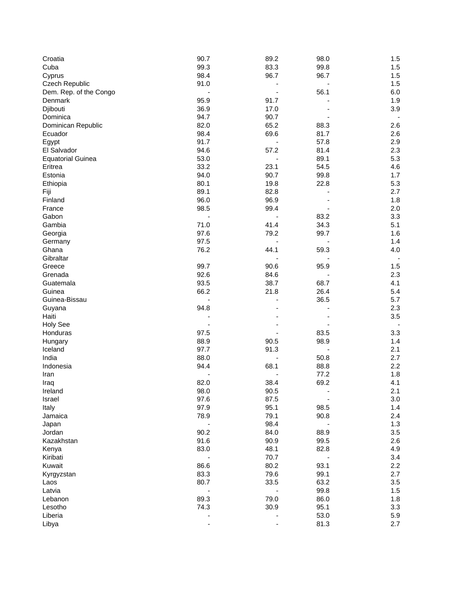| Croatia                  | 90.7 | 89.2 | 98.0                         | 1.5     |
|--------------------------|------|------|------------------------------|---------|
| Cuba                     | 99.3 | 83.3 | 99.8                         | 1.5     |
| Cyprus                   | 98.4 | 96.7 | 96.7                         | 1.5     |
| Czech Republic           | 91.0 |      |                              | 1.5     |
| Dem. Rep. of the Congo   |      |      | 56.1                         | 6.0     |
| Denmark                  | 95.9 | 91.7 |                              | 1.9     |
| Djibouti                 | 36.9 | 17.0 |                              | 3.9     |
| Dominica                 | 94.7 | 90.7 |                              |         |
| Dominican Republic       | 82.0 | 65.2 | 88.3                         | 2.6     |
| Ecuador                  | 98.4 | 69.6 | 81.7                         | 2.6     |
|                          | 91.7 |      | 57.8                         | $2.9\,$ |
| Egypt                    | 94.6 | 57.2 |                              | 2.3     |
| El Salvador              |      |      | 81.4                         |         |
| <b>Equatorial Guinea</b> | 53.0 |      | 89.1                         | 5.3     |
| Eritrea                  | 33.2 | 23.1 | 54.5                         | 4.6     |
| Estonia                  | 94.0 | 90.7 | 99.8                         | 1.7     |
| Ethiopia                 | 80.1 | 19.8 | 22.8                         | 5.3     |
| Fiji                     | 89.1 | 82.8 |                              | 2.7     |
| Finland                  | 96.0 | 96.9 |                              | 1.8     |
| France                   | 98.5 | 99.4 |                              | 2.0     |
| Gabon                    |      |      | 83.2                         | 3.3     |
| Gambia                   | 71.0 | 41.4 | 34.3                         | 5.1     |
| Georgia                  | 97.6 | 79.2 | 99.7                         | 1.6     |
| Germany                  | 97.5 |      |                              | 1.4     |
| Ghana                    | 76.2 | 44.1 | 59.3                         | 4.0     |
| Gibraltar                |      |      |                              |         |
| Greece                   | 99.7 | 90.6 | 95.9                         | 1.5     |
| Grenada                  | 92.6 | 84.6 |                              | 2.3     |
| Guatemala                | 93.5 | 38.7 | 68.7                         | 4.1     |
| Guinea                   | 66.2 | 21.8 | 26.4                         | 5.4     |
| Guinea-Bissau            |      |      | 36.5                         | 5.7     |
|                          | 94.8 |      |                              | 2.3     |
| Guyana                   |      |      |                              |         |
| Haiti                    |      |      |                              | 3.5     |
| <b>Holy See</b>          |      |      |                              |         |
| Honduras                 | 97.5 |      | 83.5                         | 3.3     |
| Hungary                  | 88.9 | 90.5 | 98.9                         | 1.4     |
| Iceland                  | 97.7 | 91.3 |                              | 2.1     |
| India                    | 88.0 |      | 50.8                         | 2.7     |
| Indonesia                | 94.4 | 68.1 | 88.8                         | 2.2     |
| Iran                     |      |      | 77.2                         | 1.8     |
| Iraq                     | 82.0 | 38.4 | 69.2                         | 4.1     |
| Ireland                  | 98.0 | 90.5 |                              | 2.1     |
| Israel                   | 97.6 | 87.5 | $\qquad \qquad \blacksquare$ | 3.0     |
| Italy                    | 97.9 | 95.1 | 98.5                         | 1.4     |
| Jamaica                  | 78.9 | 79.1 | 90.8                         | $2.4\,$ |
| Japan                    |      | 98.4 |                              | 1.3     |
| Jordan                   | 90.2 | 84.0 | 88.9                         | 3.5     |
| Kazakhstan               | 91.6 | 90.9 | 99.5                         | 2.6     |
| Kenya                    | 83.0 | 48.1 | 82.8                         | 4.9     |
| Kiribati                 |      | 70.7 |                              | 3.4     |
| Kuwait                   | 86.6 | 80.2 | 93.1                         | 2.2     |
| Kyrgyzstan               | 83.3 | 79.6 | 99.1                         | 2.7     |
| Laos                     | 80.7 | 33.5 | 63.2                         | 3.5     |
| Latvia                   |      |      | 99.8                         | 1.5     |
|                          | 89.3 | 79.0 | 86.0                         | 1.8     |
| Lebanon                  |      |      |                              |         |
| Lesotho                  | 74.3 | 30.9 | 95.1                         | 3.3     |
| Liberia                  |      |      | 53.0                         | 5.9     |
| Libya                    |      |      | 81.3                         | 2.7     |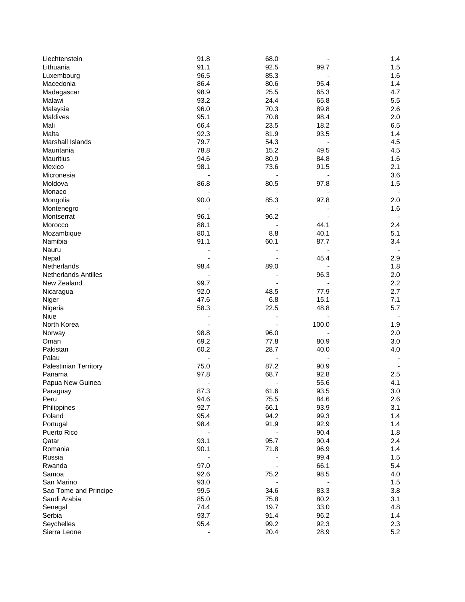| Liechtenstein               | 91.8 | 68.0 |       | 1.4 |
|-----------------------------|------|------|-------|-----|
| Lithuania                   | 91.1 | 92.5 | 99.7  | 1.5 |
| Luxembourg                  | 96.5 | 85.3 |       | 1.6 |
| Macedonia                   | 86.4 | 80.6 | 95.4  | 1.4 |
| Madagascar                  | 98.9 | 25.5 | 65.3  | 4.7 |
| Malawi                      | 93.2 | 24.4 | 65.8  | 5.5 |
| Malaysia                    | 96.0 | 70.3 | 89.8  | 2.6 |
| Maldives                    | 95.1 | 70.8 | 98.4  | 2.0 |
| Mali                        | 66.4 | 23.5 | 18.2  | 6.5 |
| Malta                       | 92.3 | 81.9 | 93.5  | 1.4 |
| Marshall Islands            | 79.7 | 54.3 |       | 4.5 |
| Mauritania                  | 78.8 | 15.2 | 49.5  | 4.5 |
| Mauritius                   | 94.6 | 80.9 | 84.8  | 1.6 |
| Mexico                      | 98.1 | 73.6 | 91.5  | 2.1 |
| Micronesia                  |      |      |       | 3.6 |
| Moldova                     | 86.8 | 80.5 | 97.8  | 1.5 |
| Monaco                      |      |      |       |     |
| Mongolia                    | 90.0 | 85.3 | 97.8  | 2.0 |
| Montenegro                  |      |      |       | 1.6 |
| Montserrat                  | 96.1 | 96.2 |       |     |
| Morocco                     | 88.1 |      | 44.1  | 2.4 |
| Mozambique                  | 80.1 | 8.8  | 40.1  | 5.1 |
| Namibia                     | 91.1 | 60.1 | 87.7  | 3.4 |
| Nauru                       |      |      |       |     |
| Nepal                       |      |      | 45.4  | 2.9 |
| Netherlands                 | 98.4 | 89.0 |       | 1.8 |
| <b>Netherlands Antilles</b> |      |      | 96.3  | 2.0 |
| New Zealand                 | 99.7 |      |       | 2.2 |
| Nicaragua                   | 92.0 | 48.5 | 77.9  | 2.7 |
| Niger                       | 47.6 | 6.8  | 15.1  | 7.1 |
| Nigeria                     | 58.3 | 22.5 | 48.8  | 5.7 |
| Niue                        |      |      |       |     |
| North Korea                 |      |      | 100.0 | 1.9 |
| Norway                      | 98.8 | 96.0 |       | 2.0 |
| Oman                        | 69.2 | 77.8 | 80.9  | 3.0 |
| Pakistan                    | 60.2 | 28.7 | 40.0  | 4.0 |
| Palau                       |      |      |       |     |
| Palestinian Territory       | 75.0 | 87.2 | 90.9  |     |
| Panama                      | 97.8 | 68.7 | 92.8  | 2.5 |
| Papua New Guinea            |      |      | 55.6  | 4.1 |
| Paraguay                    | 87.3 | 61.6 | 93.5  | 3.0 |
| Peru                        | 94.6 | 75.5 | 84.6  | 2.6 |
| Philippines                 | 92.7 | 66.1 | 93.9  | 3.1 |
| Poland                      | 95.4 | 94.2 | 99.3  | 1.4 |
| Portugal                    | 98.4 | 91.9 | 92.9  | 1.4 |
| Puerto Rico                 |      |      | 90.4  | 1.8 |
| Qatar                       | 93.1 | 95.7 | 90.4  | 2.4 |
| Romania                     | 90.1 | 71.8 | 96.9  | 1.4 |
| Russia                      |      |      | 99.4  | 1.5 |
| Rwanda                      | 97.0 |      | 66.1  | 5.4 |
| Samoa                       | 92.6 | 75.2 | 98.5  | 4.0 |
| San Marino                  | 93.0 |      |       | 1.5 |
| Sao Tome and Principe       | 99.5 | 34.6 | 83.3  | 3.8 |
| Saudi Arabia                | 85.0 | 75.8 | 80.2  | 3.1 |
| Senegal                     | 74.4 | 19.7 | 33.0  | 4.8 |
| Serbia                      | 93.7 | 91.4 | 96.2  | 1.4 |
| Seychelles                  | 95.4 | 99.2 | 92.3  | 2.3 |
| Sierra Leone                |      | 20.4 | 28.9  | 5.2 |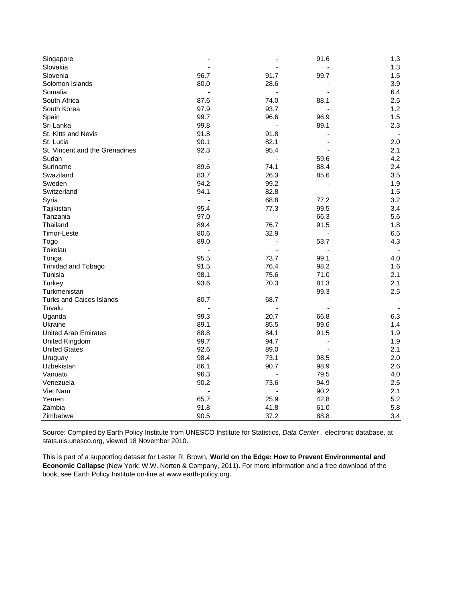| 1.3<br>96.7<br>91.7<br>99.7<br>1.5<br>80.0<br>28.6<br>3.9<br>6.4<br>87.6<br>74.0<br>88.1<br>2.5<br>93.7<br>97.9<br>1.2<br>99.7<br>96.6<br>96.9<br>1.5<br>99.8<br>89.1<br>2.3<br>$\overline{\phantom{a}}$<br>91.8<br>91.8<br>90.1<br>82.1<br>2.0<br>92.3<br>95.4<br>2.1<br>4.2<br>59.6<br>89.6<br>74.1<br>88.4<br>2.4<br>83.7<br>26.3<br>85.6<br>3.5<br>94.2<br>99.2<br>1.9<br>94.1<br>82.8<br>1.5<br>68.8<br>77.2<br>3.2<br>Syria<br>95.4<br>77.3<br>99.5<br>3.4<br>Tajikistan<br>97.0<br>66.3<br>Tanzania<br>5.6<br>89.4<br>76.7<br>91.5<br>Thailand<br>1.8<br>80.6<br>32.9<br>6.5<br>Timor-Leste<br>$\blacksquare$<br>89.0<br>53.7<br>4.3<br>Togo<br>Tokelau<br>95.5<br>99.1<br>Tonga<br>73.7<br>4.0<br>91.5<br>76.4<br>98.2<br>Trinidad and Tobago<br>1.6<br>98.1<br>75.6<br>71.0<br>2.1<br>Tunisia<br>93.6<br>70.3<br>2.1<br>Turkey<br>81.3<br>2.5<br>Turkmenistan<br>99.3<br><b>Turks and Caicos Islands</b><br>80.7<br>68.7<br>Uganda<br>99.3<br>20.7<br>66.8<br>6.3<br>89.1<br>85.5<br>99.6<br>Ukraine<br>1.4<br><b>United Arab Emirates</b><br>88.8<br>84.1<br>1.9<br>91.5<br>99.7<br>94.7<br><b>United Kingdom</b><br>1.9<br>÷,<br>92.6<br>2.1<br><b>United States</b><br>89.0<br>98.4<br>73.1<br>2.0<br>98.5<br>Uruguay<br>86.1<br>90.7<br>2.6<br>Uzbekistan<br>98.9<br>96.3<br>79.5<br>4.0<br>90.2<br>73.6<br>94.9<br>2.5<br>Venezuela<br>2.1<br>90.2<br>25.9<br>42.8<br>5.2<br>65.7<br>91.8<br>41.8<br>5.8<br>61.0 | Singapore                      |      |      | 91.6 | 1.3 |
|--------------------------------------------------------------------------------------------------------------------------------------------------------------------------------------------------------------------------------------------------------------------------------------------------------------------------------------------------------------------------------------------------------------------------------------------------------------------------------------------------------------------------------------------------------------------------------------------------------------------------------------------------------------------------------------------------------------------------------------------------------------------------------------------------------------------------------------------------------------------------------------------------------------------------------------------------------------------------------------------------------------------------------------------------------------------------------------------------------------------------------------------------------------------------------------------------------------------------------------------------------------------------------------------------------------------------------------------------------------------------------------------------------------------------------|--------------------------------|------|------|------|-----|
|                                                                                                                                                                                                                                                                                                                                                                                                                                                                                                                                                                                                                                                                                                                                                                                                                                                                                                                                                                                                                                                                                                                                                                                                                                                                                                                                                                                                                                | Slovakia                       |      |      |      |     |
|                                                                                                                                                                                                                                                                                                                                                                                                                                                                                                                                                                                                                                                                                                                                                                                                                                                                                                                                                                                                                                                                                                                                                                                                                                                                                                                                                                                                                                | Slovenia                       |      |      |      |     |
|                                                                                                                                                                                                                                                                                                                                                                                                                                                                                                                                                                                                                                                                                                                                                                                                                                                                                                                                                                                                                                                                                                                                                                                                                                                                                                                                                                                                                                | Solomon Islands                |      |      |      |     |
|                                                                                                                                                                                                                                                                                                                                                                                                                                                                                                                                                                                                                                                                                                                                                                                                                                                                                                                                                                                                                                                                                                                                                                                                                                                                                                                                                                                                                                | Somalia                        |      |      |      |     |
|                                                                                                                                                                                                                                                                                                                                                                                                                                                                                                                                                                                                                                                                                                                                                                                                                                                                                                                                                                                                                                                                                                                                                                                                                                                                                                                                                                                                                                | South Africa                   |      |      |      |     |
|                                                                                                                                                                                                                                                                                                                                                                                                                                                                                                                                                                                                                                                                                                                                                                                                                                                                                                                                                                                                                                                                                                                                                                                                                                                                                                                                                                                                                                | South Korea                    |      |      |      |     |
|                                                                                                                                                                                                                                                                                                                                                                                                                                                                                                                                                                                                                                                                                                                                                                                                                                                                                                                                                                                                                                                                                                                                                                                                                                                                                                                                                                                                                                | Spain                          |      |      |      |     |
|                                                                                                                                                                                                                                                                                                                                                                                                                                                                                                                                                                                                                                                                                                                                                                                                                                                                                                                                                                                                                                                                                                                                                                                                                                                                                                                                                                                                                                | Sri Lanka                      |      |      |      |     |
|                                                                                                                                                                                                                                                                                                                                                                                                                                                                                                                                                                                                                                                                                                                                                                                                                                                                                                                                                                                                                                                                                                                                                                                                                                                                                                                                                                                                                                | St. Kitts and Nevis            |      |      |      |     |
|                                                                                                                                                                                                                                                                                                                                                                                                                                                                                                                                                                                                                                                                                                                                                                                                                                                                                                                                                                                                                                                                                                                                                                                                                                                                                                                                                                                                                                | St. Lucia                      |      |      |      |     |
|                                                                                                                                                                                                                                                                                                                                                                                                                                                                                                                                                                                                                                                                                                                                                                                                                                                                                                                                                                                                                                                                                                                                                                                                                                                                                                                                                                                                                                | St. Vincent and the Grenadines |      |      |      |     |
|                                                                                                                                                                                                                                                                                                                                                                                                                                                                                                                                                                                                                                                                                                                                                                                                                                                                                                                                                                                                                                                                                                                                                                                                                                                                                                                                                                                                                                | Sudan                          |      |      |      |     |
|                                                                                                                                                                                                                                                                                                                                                                                                                                                                                                                                                                                                                                                                                                                                                                                                                                                                                                                                                                                                                                                                                                                                                                                                                                                                                                                                                                                                                                | Suriname                       |      |      |      |     |
|                                                                                                                                                                                                                                                                                                                                                                                                                                                                                                                                                                                                                                                                                                                                                                                                                                                                                                                                                                                                                                                                                                                                                                                                                                                                                                                                                                                                                                | Swaziland                      |      |      |      |     |
|                                                                                                                                                                                                                                                                                                                                                                                                                                                                                                                                                                                                                                                                                                                                                                                                                                                                                                                                                                                                                                                                                                                                                                                                                                                                                                                                                                                                                                | Sweden                         |      |      |      |     |
|                                                                                                                                                                                                                                                                                                                                                                                                                                                                                                                                                                                                                                                                                                                                                                                                                                                                                                                                                                                                                                                                                                                                                                                                                                                                                                                                                                                                                                | Switzerland                    |      |      |      |     |
|                                                                                                                                                                                                                                                                                                                                                                                                                                                                                                                                                                                                                                                                                                                                                                                                                                                                                                                                                                                                                                                                                                                                                                                                                                                                                                                                                                                                                                |                                |      |      |      |     |
|                                                                                                                                                                                                                                                                                                                                                                                                                                                                                                                                                                                                                                                                                                                                                                                                                                                                                                                                                                                                                                                                                                                                                                                                                                                                                                                                                                                                                                |                                |      |      |      |     |
|                                                                                                                                                                                                                                                                                                                                                                                                                                                                                                                                                                                                                                                                                                                                                                                                                                                                                                                                                                                                                                                                                                                                                                                                                                                                                                                                                                                                                                |                                |      |      |      |     |
|                                                                                                                                                                                                                                                                                                                                                                                                                                                                                                                                                                                                                                                                                                                                                                                                                                                                                                                                                                                                                                                                                                                                                                                                                                                                                                                                                                                                                                |                                |      |      |      |     |
|                                                                                                                                                                                                                                                                                                                                                                                                                                                                                                                                                                                                                                                                                                                                                                                                                                                                                                                                                                                                                                                                                                                                                                                                                                                                                                                                                                                                                                |                                |      |      |      |     |
|                                                                                                                                                                                                                                                                                                                                                                                                                                                                                                                                                                                                                                                                                                                                                                                                                                                                                                                                                                                                                                                                                                                                                                                                                                                                                                                                                                                                                                |                                |      |      |      |     |
|                                                                                                                                                                                                                                                                                                                                                                                                                                                                                                                                                                                                                                                                                                                                                                                                                                                                                                                                                                                                                                                                                                                                                                                                                                                                                                                                                                                                                                |                                |      |      |      |     |
|                                                                                                                                                                                                                                                                                                                                                                                                                                                                                                                                                                                                                                                                                                                                                                                                                                                                                                                                                                                                                                                                                                                                                                                                                                                                                                                                                                                                                                |                                |      |      |      |     |
|                                                                                                                                                                                                                                                                                                                                                                                                                                                                                                                                                                                                                                                                                                                                                                                                                                                                                                                                                                                                                                                                                                                                                                                                                                                                                                                                                                                                                                |                                |      |      |      |     |
|                                                                                                                                                                                                                                                                                                                                                                                                                                                                                                                                                                                                                                                                                                                                                                                                                                                                                                                                                                                                                                                                                                                                                                                                                                                                                                                                                                                                                                |                                |      |      |      |     |
|                                                                                                                                                                                                                                                                                                                                                                                                                                                                                                                                                                                                                                                                                                                                                                                                                                                                                                                                                                                                                                                                                                                                                                                                                                                                                                                                                                                                                                |                                |      |      |      |     |
|                                                                                                                                                                                                                                                                                                                                                                                                                                                                                                                                                                                                                                                                                                                                                                                                                                                                                                                                                                                                                                                                                                                                                                                                                                                                                                                                                                                                                                |                                |      |      |      |     |
|                                                                                                                                                                                                                                                                                                                                                                                                                                                                                                                                                                                                                                                                                                                                                                                                                                                                                                                                                                                                                                                                                                                                                                                                                                                                                                                                                                                                                                |                                |      |      |      |     |
|                                                                                                                                                                                                                                                                                                                                                                                                                                                                                                                                                                                                                                                                                                                                                                                                                                                                                                                                                                                                                                                                                                                                                                                                                                                                                                                                                                                                                                | Tuvalu                         |      |      |      |     |
|                                                                                                                                                                                                                                                                                                                                                                                                                                                                                                                                                                                                                                                                                                                                                                                                                                                                                                                                                                                                                                                                                                                                                                                                                                                                                                                                                                                                                                |                                |      |      |      |     |
|                                                                                                                                                                                                                                                                                                                                                                                                                                                                                                                                                                                                                                                                                                                                                                                                                                                                                                                                                                                                                                                                                                                                                                                                                                                                                                                                                                                                                                |                                |      |      |      |     |
|                                                                                                                                                                                                                                                                                                                                                                                                                                                                                                                                                                                                                                                                                                                                                                                                                                                                                                                                                                                                                                                                                                                                                                                                                                                                                                                                                                                                                                |                                |      |      |      |     |
|                                                                                                                                                                                                                                                                                                                                                                                                                                                                                                                                                                                                                                                                                                                                                                                                                                                                                                                                                                                                                                                                                                                                                                                                                                                                                                                                                                                                                                |                                |      |      |      |     |
|                                                                                                                                                                                                                                                                                                                                                                                                                                                                                                                                                                                                                                                                                                                                                                                                                                                                                                                                                                                                                                                                                                                                                                                                                                                                                                                                                                                                                                |                                |      |      |      |     |
|                                                                                                                                                                                                                                                                                                                                                                                                                                                                                                                                                                                                                                                                                                                                                                                                                                                                                                                                                                                                                                                                                                                                                                                                                                                                                                                                                                                                                                |                                |      |      |      |     |
|                                                                                                                                                                                                                                                                                                                                                                                                                                                                                                                                                                                                                                                                                                                                                                                                                                                                                                                                                                                                                                                                                                                                                                                                                                                                                                                                                                                                                                |                                |      |      |      |     |
|                                                                                                                                                                                                                                                                                                                                                                                                                                                                                                                                                                                                                                                                                                                                                                                                                                                                                                                                                                                                                                                                                                                                                                                                                                                                                                                                                                                                                                | Vanuatu                        |      |      |      |     |
|                                                                                                                                                                                                                                                                                                                                                                                                                                                                                                                                                                                                                                                                                                                                                                                                                                                                                                                                                                                                                                                                                                                                                                                                                                                                                                                                                                                                                                |                                |      |      |      |     |
|                                                                                                                                                                                                                                                                                                                                                                                                                                                                                                                                                                                                                                                                                                                                                                                                                                                                                                                                                                                                                                                                                                                                                                                                                                                                                                                                                                                                                                | Viet Nam                       |      |      |      |     |
|                                                                                                                                                                                                                                                                                                                                                                                                                                                                                                                                                                                                                                                                                                                                                                                                                                                                                                                                                                                                                                                                                                                                                                                                                                                                                                                                                                                                                                | Yemen                          |      |      |      |     |
|                                                                                                                                                                                                                                                                                                                                                                                                                                                                                                                                                                                                                                                                                                                                                                                                                                                                                                                                                                                                                                                                                                                                                                                                                                                                                                                                                                                                                                | Zambia                         |      |      |      |     |
|                                                                                                                                                                                                                                                                                                                                                                                                                                                                                                                                                                                                                                                                                                                                                                                                                                                                                                                                                                                                                                                                                                                                                                                                                                                                                                                                                                                                                                | Zimbabwe                       | 90.5 | 37.2 | 88.8 | 3.4 |

Source: Compiled by Earth Policy Institute from UNESCO Institute for Statistics, *Data Center* , electronic database, at stats.uis.unesco.org, viewed 18 November 2010.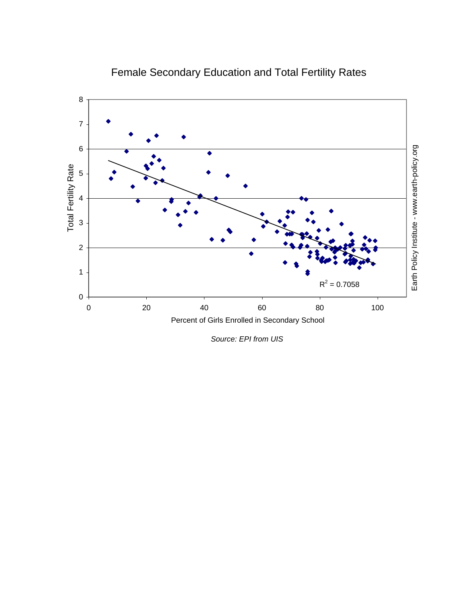

# Female Secondary Education and Total Fertility Rates

*Source: EPI from UIS*